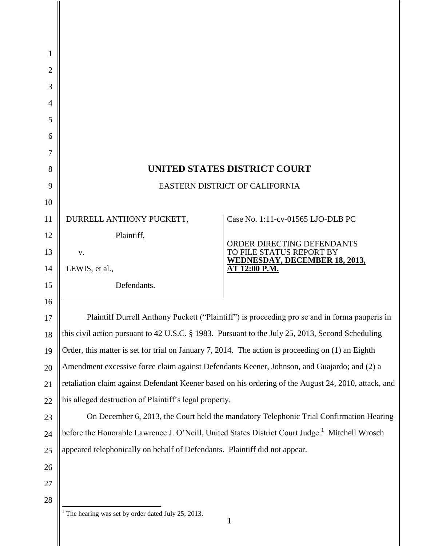| 1              |                                                                                                            |                                                               |
|----------------|------------------------------------------------------------------------------------------------------------|---------------------------------------------------------------|
| $\overline{2}$ |                                                                                                            |                                                               |
| 3              |                                                                                                            |                                                               |
| 4              |                                                                                                            |                                                               |
| 5              |                                                                                                            |                                                               |
| 6              |                                                                                                            |                                                               |
| 7              |                                                                                                            |                                                               |
| 8              | <b>UNITED STATES DISTRICT COURT</b><br>EASTERN DISTRICT OF CALIFORNIA                                      |                                                               |
| 9              |                                                                                                            |                                                               |
| 10<br>11       | DURRELL ANTHONY PUCKETT,                                                                                   | Case No. 1:11-cv-01565 LJO-DLB PC                             |
| 12             | Plaintiff,                                                                                                 |                                                               |
| 13             | V.                                                                                                         | <b>ORDER DIRECTING DEFENDANTS</b><br>TO FILE STATUS REPORT BY |
| 14             | LEWIS, et al.,                                                                                             | <b>WEDNESDAY, DECEMBER 18, 2013,</b><br>AT 12:00 P.M.         |
| 15             | Defendants.                                                                                                |                                                               |
| 16             |                                                                                                            |                                                               |
| 17             | Plaintiff Durrell Anthony Puckett ("Plaintiff") is proceeding pro se and in forma pauperis in              |                                                               |
| 18             | this civil action pursuant to 42 U.S.C. § 1983. Pursuant to the July 25, 2013, Second Scheduling           |                                                               |
| 19             | Order, this matter is set for trial on January 7, 2014. The action is proceeding on (1) an Eighth          |                                                               |
| 20             | Amendment excessive force claim against Defendants Keener, Johnson, and Guajardo; and (2) a                |                                                               |
| 21             | retaliation claim against Defendant Keener based on his ordering of the August 24, 2010, attack, and       |                                                               |
| 22             | his alleged destruction of Plaintiff's legal property.                                                     |                                                               |
| 23             | On December 6, 2013, the Court held the mandatory Telephonic Trial Confirmation Hearing                    |                                                               |
| 24             | before the Honorable Lawrence J. O'Neill, United States District Court Judge. <sup>1</sup> Mitchell Wrosch |                                                               |
| 25             | appeared telephonically on behalf of Defendants. Plaintiff did not appear.                                 |                                                               |
| 26             |                                                                                                            |                                                               |
| 27             |                                                                                                            |                                                               |
| 28             |                                                                                                            |                                                               |
|                | The hearing was set by order dated July 25, 2013.                                                          |                                                               |